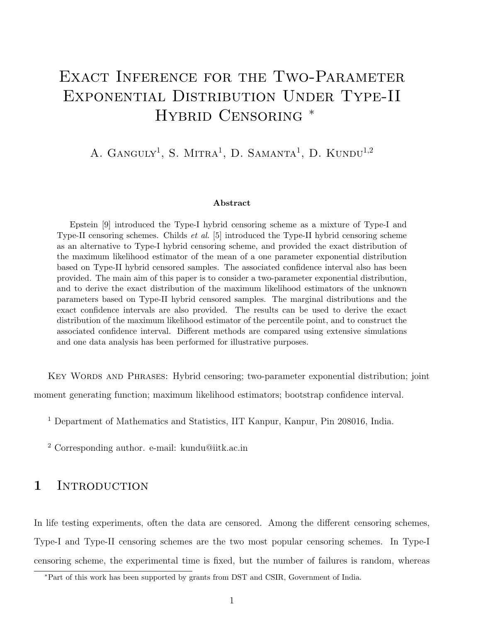# EXACT INFERENCE FOR THE TWO-PARAMETER Exponential Distribution Under Type-II HYBRID CENSORING  $*$

# A. GANGULY<sup>1</sup>, S. MITRA<sup>1</sup>, D. SAMANTA<sup>1</sup>, D. KUNDU<sup>1,2</sup>

#### Abstract

Epstein [9] introduced the Type-I hybrid censoring scheme as a mixture of Type-I and Type-II censoring schemes. Childs et al. [5] introduced the Type-II hybrid censoring scheme as an alternative to Type-I hybrid censoring scheme, and provided the exact distribution of the maximum likelihood estimator of the mean of a one parameter exponential distribution based on Type-II hybrid censored samples. The associated confidence interval also has been provided. The main aim of this paper is to consider a two-parameter exponential distribution, and to derive the exact distribution of the maximum likelihood estimators of the unknown parameters based on Type-II hybrid censored samples. The marginal distributions and the exact confidence intervals are also provided. The results can be used to derive the exact distribution of the maximum likelihood estimator of the percentile point, and to construct the associated confidence interval. Different methods are compared using extensive simulations and one data analysis has been performed for illustrative purposes.

Key Words and Phrases: Hybrid censoring; two-parameter exponential distribution; joint

moment generating function; maximum likelihood estimators; bootstrap confidence interval.

<sup>1</sup> Department of Mathematics and Statistics, IIT Kanpur, Kanpur, Pin 208016, India.

<sup>2</sup> Corresponding author. e-mail: kundu@iitk.ac.in

### 1 INTRODUCTION

In life testing experiments, often the data are censored. Among the different censoring schemes, Type-I and Type-II censoring schemes are the two most popular censoring schemes. In Type-I censoring scheme, the experimental time is fixed, but the number of failures is random, whereas

<sup>∗</sup>Part of this work has been supported by grants from DST and CSIR, Government of India.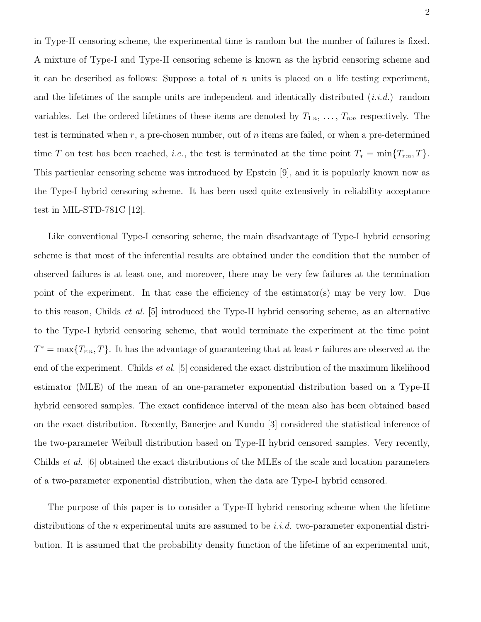in Type-II censoring scheme, the experimental time is random but the number of failures is fixed. A mixture of Type-I and Type-II censoring scheme is known as the hybrid censoring scheme and it can be described as follows: Suppose a total of n units is placed on a life testing experiment, and the lifetimes of the sample units are independent and identically distributed  $(i.i.d.)$  random variables. Let the ordered lifetimes of these items are denoted by  $T_{1:n}, \ldots, T_{n:n}$  respectively. The test is terminated when  $r$ , a pre-chosen number, out of  $n$  items are failed, or when a pre-determined time T on test has been reached, *i.e.*, the test is terminated at the time point  $T_* = \min\{T_{r:n}, T\}.$ This particular censoring scheme was introduced by Epstein [9], and it is popularly known now as the Type-I hybrid censoring scheme. It has been used quite extensively in reliability acceptance test in MIL-STD-781C [12].

Like conventional Type-I censoring scheme, the main disadvantage of Type-I hybrid censoring scheme is that most of the inferential results are obtained under the condition that the number of observed failures is at least one, and moreover, there may be very few failures at the termination point of the experiment. In that case the efficiency of the estimator(s) may be very low. Due to this reason, Childs et al. [5] introduced the Type-II hybrid censoring scheme, as an alternative to the Type-I hybrid censoring scheme, that would terminate the experiment at the time point  $T^* = \max\{T_{r:n}, T\}$ . It has the advantage of guaranteeing that at least r failures are observed at the end of the experiment. Childs et al. [5] considered the exact distribution of the maximum likelihood estimator (MLE) of the mean of an one-parameter exponential distribution based on a Type-II hybrid censored samples. The exact confidence interval of the mean also has been obtained based on the exact distribution. Recently, Banerjee and Kundu [3] considered the statistical inference of the two-parameter Weibull distribution based on Type-II hybrid censored samples. Very recently, Childs et al. [6] obtained the exact distributions of the MLEs of the scale and location parameters of a two-parameter exponential distribution, when the data are Type-I hybrid censored.

The purpose of this paper is to consider a Type-II hybrid censoring scheme when the lifetime distributions of the n experimental units are assumed to be *i.i.d.* two-parameter exponential distribution. It is assumed that the probability density function of the lifetime of an experimental unit,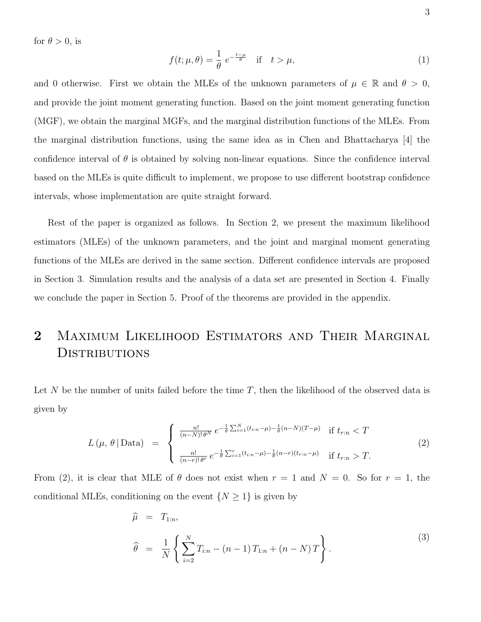for  $\theta > 0$ , is

$$
f(t; \mu, \theta) = \frac{1}{\theta} e^{-\frac{t - \mu}{\theta}} \quad \text{if} \quad t > \mu,
$$
 (1)

and 0 otherwise. First we obtain the MLEs of the unknown parameters of  $\mu \in \mathbb{R}$  and  $\theta > 0$ , and provide the joint moment generating function. Based on the joint moment generating function (MGF), we obtain the marginal MGFs, and the marginal distribution functions of the MLEs. From the marginal distribution functions, using the same idea as in Chen and Bhattacharya [4] the confidence interval of  $\theta$  is obtained by solving non-linear equations. Since the confidence interval based on the MLEs is quite difficult to implement, we propose to use different bootstrap confidence intervals, whose implementation are quite straight forward.

Rest of the paper is organized as follows. In Section 2, we present the maximum likelihood estimators (MLEs) of the unknown parameters, and the joint and marginal moment generating functions of the MLEs are derived in the same section. Different confidence intervals are proposed in Section 3. Simulation results and the analysis of a data set are presented in Section 4. Finally we conclude the paper in Section 5. Proof of the theorems are provided in the appendix.

# 2 MAXIMUM LIKELIHOOD ESTIMATORS AND THEIR MARGINAL **DISTRIBUTIONS**

Let N be the number of units failed before the time  $T$ , then the likelihood of the observed data is given by

$$
L(\mu, \theta | \text{Data}) = \begin{cases} \frac{n!}{(n-N)!\theta^N} e^{-\frac{1}{\theta} \sum_{i=1}^N (t_{i:n}-\mu) - \frac{1}{\theta}(n-N)(T-\mu)} & \text{if } t_{r:n} < T\\ \frac{n!}{(n-r)!\theta^r} e^{-\frac{1}{\theta} \sum_{i=1}^r (t_{i:n}-\mu) - \frac{1}{\theta}(n-r)(t_{r:n}-\mu)} & \text{if } t_{r:n} > T. \end{cases}
$$
(2)

From (2), it is clear that MLE of  $\theta$  does not exist when  $r = 1$  and  $N = 0$ . So for  $r = 1$ , the conditional MLEs, conditioning on the event  $\{N \geq 1\}$  is given by

$$
\widehat{\mu} = T_{1:n},
$$
\n
$$
\widehat{\theta} = \frac{1}{N} \left\{ \sum_{i=2}^{N} T_{i:n} - (n-1) T_{1:n} + (n-N) T \right\}.
$$
\n(3)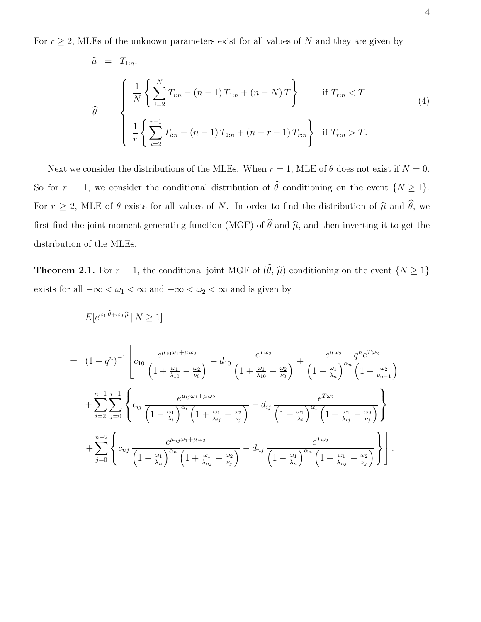For  $r \geq 2$ , MLEs of the unknown parameters exist for all values of N and they are given by

$$
\widehat{\mu} = T_{1:n},
$$
\n
$$
\widehat{\theta} = \begin{cases}\n\frac{1}{N} \left\{ \sum_{i=2}^{N} T_{i:n} - (n-1) T_{1:n} + (n-N) T \right\} & \text{if } T_{r:n} < T \\
\frac{1}{r} \left\{ \sum_{i=2}^{r-1} T_{i:n} - (n-1) T_{1:n} + (n-r+1) T_{r:n} \right\} & \text{if } T_{r:n} > T.\n\end{cases}
$$
\n(4)

Next we consider the distributions of the MLEs. When  $r = 1$ , MLE of  $\theta$  does not exist if  $N = 0$ . So for  $r = 1$ , we consider the conditional distribution of  $\hat{\theta}$  conditioning on the event  $\{N \geq 1\}$ . For  $r \geq 2$ , MLE of  $\theta$  exists for all values of N. In order to find the distribution of  $\hat{\mu}$  and  $\hat{\theta}$ , we first find the joint moment generating function (MGF) of  $\hat{\theta}$  and  $\hat{\mu}$ , and then inverting it to get the distribution of the MLEs.

**Theorem 2.1.** For  $r = 1$ , the conditional joint MGF of  $(\widehat{\theta}, \widehat{\mu})$  conditioning on the event  $\{N \geq 1\}$ exists for all  $-\infty < \omega_1 < \infty$  and  $-\infty < \omega_2 < \infty$  and is given by

$$
= (1-q^n)^{-1} \left[ c_{10} \frac{e^{\mu_{10}\omega_1 + \mu \omega_2}}{\left(1 + \frac{\omega_1}{\lambda_{10}} - \frac{\omega_2}{\nu_0}\right)} - d_{10} \frac{e^{T\omega_2}}{\left(1 + \frac{\omega_1}{\lambda_{10}} - \frac{\omega_2}{\nu_0}\right)} + \frac{e^{\mu \omega_2} - q^n e^{T\omega_2}}{\left(1 - \frac{\omega_1}{\lambda_n}\right)^{\alpha_n} \left(1 - \frac{\omega_2}{\nu_{n-1}}\right)} \right]
$$
  
+ 
$$
\sum_{i=2}^{n-1} \sum_{j=0}^{i-1} \left\{ c_{ij} \frac{e^{\mu_{ij}\omega_1 + \mu \omega_2}}{\left(1 - \frac{\omega_1}{\lambda_i}\right)^{\alpha_i} \left(1 + \frac{\omega_1}{\lambda_{ij}} - \frac{\omega_2}{\nu_j}\right)} - d_{ij} \frac{e^{T\omega_2}}{\left(1 - \frac{\omega_1}{\lambda_i}\right)^{\alpha_i} \left(1 + \frac{\omega_1}{\lambda_{ij}} - \frac{\omega_2}{\nu_j}\right)} \right\}
$$
  
+ 
$$
\sum_{j=0}^{n-2} \left\{ c_{nj} \frac{e^{\mu_{nj}\omega_1 + \mu \omega_2}}{\left(1 - \frac{\omega_1}{\lambda_n}\right)^{\alpha_n} \left(1 + \frac{\omega_1}{\lambda_{nj}} - \frac{\omega_2}{\nu_j}\right)} - d_{nj} \frac{e^{T\omega_2}}{\left(1 - \frac{\omega_1}{\lambda_n}\right)^{\alpha_n} \left(1 + \frac{\omega_1}{\lambda_{nj}} - \frac{\omega_2}{\nu_j}\right)} \right\}.
$$

$$
E[e^{\omega_1 \theta + \omega_2 \widehat{\mu}} \,|\, N \ge 1]
$$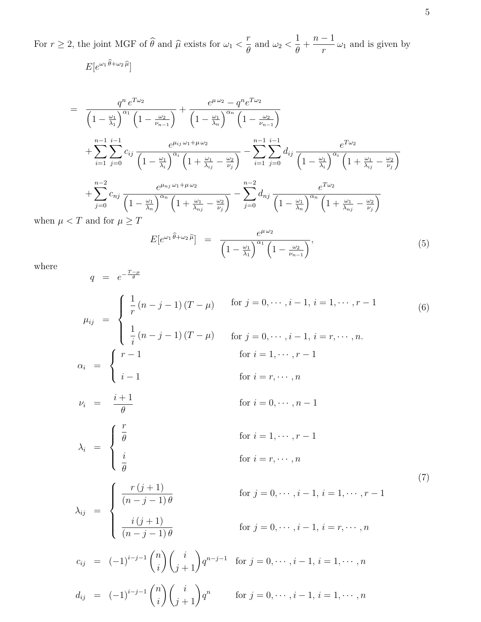For  $r \ge 2$ , the joint MGF of  $\widehat{\theta}$  and  $\widehat{\mu}$  exists for  $\omega_1 < \frac{r}{\theta}$  $\frac{1}{\theta}$  and  $\omega_2$  < 1 θ  $^{+}$  $n-1$  $\frac{1}{r} \omega_1$  and is given by  $E[e^{\omega_1 \theta + \omega_2 \widehat{\mu}}]$ 

$$
= \frac{q^n e^{T\omega_2}}{\left(1-\frac{\omega_1}{\lambda_1}\right)^{\alpha_1}\left(1-\frac{\omega_2}{\nu_{n-1}}\right)} + \frac{e^{\mu\omega_2}-q^n e^{T\omega_2}}{\left(1-\frac{\omega_1}{\lambda_n}\right)^{\alpha_n}\left(1-\frac{\omega_2}{\nu_{n-1}}\right)}
$$
  
+ 
$$
\sum_{i=1}^{n-1} \sum_{j=0}^{i-1} c_{ij} \frac{e^{\mu_{ij}\omega_1+\mu\omega_2}}{\left(1-\frac{\omega_1}{\lambda_i}\right)^{\alpha_i}\left(1+\frac{\omega_1}{\lambda_{ij}}-\frac{\omega_2}{\nu_j}\right)} - \sum_{i=1}^{n-1} \sum_{j=0}^{i-1} d_{ij} \frac{e^{T\omega_2}}{\left(1-\frac{\omega_1}{\lambda_i}\right)^{\alpha_i}\left(1+\frac{\omega_1}{\lambda_{ij}}-\frac{\omega_2}{\nu_j}\right)}
$$
  
+ 
$$
\sum_{j=0}^{n-2} c_{nj} \frac{e^{\mu_{nj}\omega_1+\mu\omega_2}}{\left(1-\frac{\omega_1}{\lambda_n}\right)^{\alpha_n}\left(1+\frac{\omega_1}{\lambda_{nj}}-\frac{\omega_2}{\nu_j}\right)} - \sum_{j=0}^{n-2} d_{nj} \frac{e^{T\omega_2}}{\left(1-\frac{\omega_1}{\lambda_n}\right)^{\alpha_n}\left(1+\frac{\omega_1}{\lambda_{nj}}-\frac{\omega_2}{\nu_j}\right)}
$$
  
< T and for  $\mu \geq T$ 

$$
E[e^{\omega_1 \widehat{\theta} + \omega_2 \widehat{\mu}}] = \frac{e^{\mu \omega_2}}{\left(1 - \frac{\omega_1}{\lambda_1}\right)^{\alpha_1} \left(1 - \frac{\omega_2}{\nu_{n-1}}\right)},
$$
\n
$$
(5)
$$

where

 $q = e^{-\frac{T-\mu}{\theta}}$ 

when  $\mu$ 

$$
\mu_{ij} = \begin{cases}\n\frac{1}{r}(n-j-1)(T-\mu) & \text{for } j = 0, \dots, i-1, i = 1, \dots, r-1 \\
\frac{1}{i}(n-j-1)(T-\mu) & \text{for } j = 0, \dots, i-1, i = r, \dots, n.\n\end{cases}
$$
\n
$$
\alpha_{i} = \begin{cases}\n r-1 & \text{for } i = 1, \dots, r-1 \\
 i-1 & \text{for } i = r, \dots, n\n\end{cases}
$$
\n
$$
\nu_{i} = \frac{i+1}{\theta} \quad \text{for } i = 0, \dots, n-1
$$
\n
$$
\lambda_{i} = \begin{cases}\n\frac{r}{\theta} & \text{for } i = 1, \dots, r-1 \\
\frac{i}{\theta} & \text{for } i = r, \dots, n \\
\frac{r(j+1)}{\theta} & \text{for } j = 0, \dots, i-1, i = 1, \dots, r-1 \\
\frac{r(j+1)}{(n-j-1)\theta} & \text{for } j = 0, \dots, i-1, i = r, \dots, n\n\end{cases}
$$
\n
$$
\alpha_{ij} = (-1)^{i-j-1} \binom{n}{i} \binom{i}{j+1} q^{n-j-1} \quad \text{for } j = 0, \dots, i-1, i = 1, \dots, n
$$
\n
$$
d_{ij} = (-1)^{i-j-1} \binom{n}{i} \binom{i}{j+1} q^{n} \quad \text{for } j = 0, \dots, i-1, i = 1, \dots, n
$$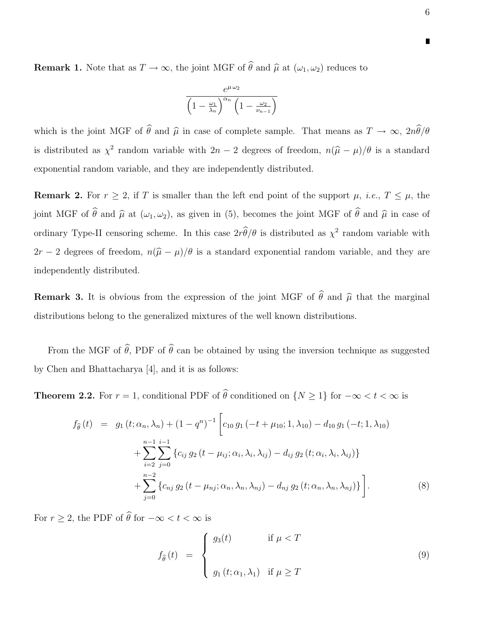**Remark 1.** Note that as  $T \to \infty$ , the joint MGF of  $\hat{\theta}$  and  $\hat{\mu}$  at  $(\omega_1, \omega_2)$  reduces to

$$
\frac{e^{\mu\omega_2}}{\left(1-\frac{\omega_1}{\lambda_n}\right)^{\alpha_n}\left(1-\frac{\omega_2}{\nu_{n-1}}\right)}
$$

which is the joint MGF of  $\hat{\theta}$  and  $\hat{\mu}$  in case of complete sample. That means as  $T \to \infty$ ,  $2n\hat{\theta}/\theta$ is distributed as  $\chi^2$  random variable with  $2n-2$  degrees of freedom,  $n(\hat{\mu} - \mu)/\theta$  is a standard exponential random variable, and they are independently distributed.

**Remark 2.** For  $r \geq 2$ , if T is smaller than the left end point of the support  $\mu$ , *i.e.*,  $T \leq \mu$ , the joint MGF of  $\hat{\theta}$  and  $\hat{\mu}$  at  $(\omega_1, \omega_2)$ , as given in (5), becomes the joint MGF of  $\hat{\theta}$  and  $\hat{\mu}$  in case of ordinary Type-II censoring scheme. In this case  $2r\theta/\theta$  is distributed as  $\chi^2$  random variable with  $2r - 2$  degrees of freedom,  $n(\hat{\mu} - \mu)/\theta$  is a standard exponential random variable, and they are independently distributed.

**Remark 3.** It is obvious from the expression of the joint MGF of  $\widehat{\theta}$  and  $\widehat{\mu}$  that the marginal distributions belong to the generalized mixtures of the well known distributions.

From the MGF of  $\hat{\theta}$ , PDF of  $\hat{\theta}$  can be obtained by using the inversion technique as suggested by Chen and Bhattacharya [4], and it is as follows:

**Theorem 2.2.** For  $r = 1$ , conditional PDF of  $\hat{\theta}$  conditioned on  $\{N \geq 1\}$  for  $-\infty < t < \infty$  is

$$
f_{\hat{\theta}}(t) = g_1(t; \alpha_n, \lambda_n) + (1 - q^n)^{-1} \left[ c_{10} g_1(-t + \mu_{10}; 1, \lambda_{10}) - d_{10} g_1(-t; 1, \lambda_{10}) + \sum_{i=2}^{n-1} \sum_{j=0}^{i-1} \left\{ c_{ij} g_2(t - \mu_{ij}; \alpha_i, \lambda_i, \lambda_{ij}) - d_{ij} g_2(t; \alpha_i, \lambda_i, \lambda_{ij}) \right\} + \sum_{j=0}^{n-2} \left\{ c_{nj} g_2(t - \mu_{nj}; \alpha_n, \lambda_n, \lambda_{nj}) - d_{nj} g_2(t; \alpha_n, \lambda_n, \lambda_{nj}) \right\} \right].
$$
\n(8)

For  $r \geq 2$ , the PDF of  $\widehat{\theta}$  for  $-\infty < t < \infty$  is

$$
f_{\hat{\theta}}(t) = \begin{cases} g_3(t) & \text{if } \mu < T \\ g_1(t; \alpha_1, \lambda_1) & \text{if } \mu \ge T \end{cases}
$$
 (9)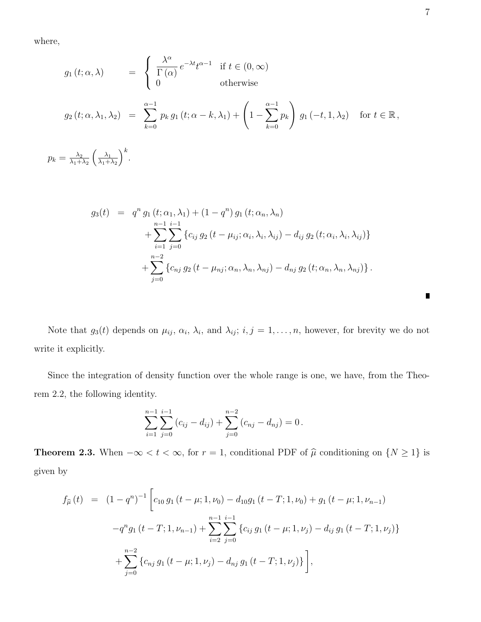where,

$$
g_1(t; \alpha, \lambda) = \begin{cases} \frac{\lambda^{\alpha}}{\Gamma(\alpha)} e^{-\lambda t} t^{\alpha - 1} & \text{if } t \in (0, \infty) \\ 0 & \text{otherwise} \end{cases}
$$
  
\n
$$
g_2(t; \alpha, \lambda_1, \lambda_2) = \sum_{k=0}^{\alpha - 1} p_k g_1(t; \alpha - k, \lambda_1) + \left(1 - \sum_{k=0}^{\alpha - 1} p_k\right) g_1(-t, 1, \lambda_2) \quad \text{for } t \in \mathbb{R},
$$
  
\n
$$
p_k = \frac{\lambda_2}{\lambda_1 + \lambda_2} \left(\frac{\lambda_1}{\lambda_1 + \lambda_2}\right)^k.
$$

$$
g_3(t) = q^n g_1(t; \alpha_1, \lambda_1) + (1 - q^n) g_1(t; \alpha_n, \lambda_n)
$$
  
+ 
$$
\sum_{i=1}^{n-1} \sum_{j=0}^{i-1} \{c_{ij} g_2(t - \mu_{ij}; \alpha_i, \lambda_i, \lambda_{ij}) - d_{ij} g_2(t; \alpha_i, \lambda_i, \lambda_{ij})\}
$$
  
+ 
$$
\sum_{j=0}^{n-2} \{c_{nj} g_2(t - \mu_{nj}; \alpha_n, \lambda_n, \lambda_{nj}) - d_{nj} g_2(t; \alpha_n, \lambda_n, \lambda_{nj})\}.
$$

Note that  $g_3(t)$  depends on  $\mu_{ij}$ ,  $\alpha_i$ ,  $\lambda_i$ , and  $\lambda_{ij}$ ;  $i, j = 1, \ldots, n$ , however, for brevity we do not write it explicitly.

Since the integration of density function over the whole range is one, we have, from the Theorem 2.2, the following identity.

$$
\sum_{i=1}^{n-1} \sum_{j=0}^{i-1} (c_{ij} - d_{ij}) + \sum_{j=0}^{n-2} (c_{nj} - d_{nj}) = 0.
$$

**Theorem 2.3.** When  $-\infty < t < \infty$ , for  $r = 1$ , conditional PDF of  $\hat{\mu}$  conditioning on  $\{N \geq 1\}$  is given by

$$
f_{\hat{\mu}}(t) = (1 - q^n)^{-1} \left[ c_{10} g_1(t - \mu; 1, \nu_0) - d_{10} g_1(t - T; 1, \nu_0) + g_1(t - \mu; 1, \nu_{n-1}) - q^n g_1(t - T; 1, \nu_{n-1}) + \sum_{i=2}^{n-1} \sum_{j=0}^{i-1} \left\{ c_{ij} g_1(t - \mu; 1, \nu_j) - d_{ij} g_1(t - T; 1, \nu_j) \right\} + \sum_{j=0}^{n-2} \left\{ c_{nj} g_1(t - \mu; 1, \nu_j) - d_{nj} g_1(t - T; 1, \nu_j) \right\} \right],
$$

 $\blacksquare$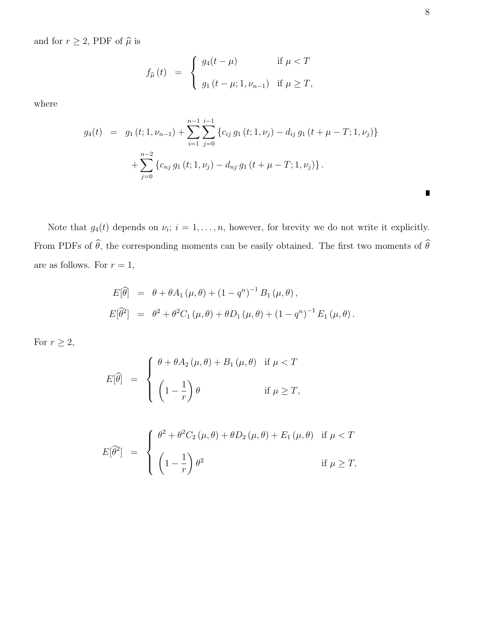and for  $r\geq 2,$  PDF of  $\widehat{\mu}$  is

$$
f_{\widehat{\mu}}(t) = \begin{cases} g_4(t-\mu) & \text{if } \mu < T \\ g_1(t-\mu; 1, \nu_{n-1}) & \text{if } \mu \geq T, \end{cases}
$$

where

$$
g_4(t) = g_1(t; 1, \nu_{n-1}) + \sum_{i=1}^{n-1} \sum_{j=0}^{i-1} \{c_{ij} g_1(t; 1, \nu_j) - d_{ij} g_1(t + \mu - T; 1, \nu_j)\} + \sum_{j=0}^{n-2} \{c_{nj} g_1(t; 1, \nu_j) - d_{nj} g_1(t + \mu - T; 1, \nu_j)\}.
$$

Note that  $g_4(t)$  depends on  $\nu_i$ ;  $i = 1, \ldots, n$ , however, for brevity we do not write it explicitly. From PDFs of  $\widehat{\theta}$ , the corresponding moments can be easily obtained. The first two moments of  $\widehat{\theta}$ are as follows. For  $r = 1$ ,

$$
E[\hat{\theta}] = \theta + \theta A_1 (\mu, \theta) + (1 - q^n)^{-1} B_1 (\mu, \theta),
$$
  
\n
$$
E[\hat{\theta}^2] = \theta^2 + \theta^2 C_1 (\mu, \theta) + \theta D_1 (\mu, \theta) + (1 - q^n)^{-1} E_1 (\mu, \theta).
$$

For  $r\geq 2,$ 

$$
E[\hat{\theta}] = \begin{cases} \theta + \theta A_2(\mu, \theta) + B_1(\mu, \theta) & \text{if } \mu < T \\ \left(1 - \frac{1}{r}\right)\theta & \text{if } \mu \ge T, \end{cases}
$$

$$
E[\hat{\theta}^2] = \begin{cases} \theta^2 + \theta^2 C_2(\mu, \theta) + \theta D_2(\mu, \theta) + E_1(\mu, \theta) & \text{if } \mu < T \\ \left(1 - \frac{1}{r}\right) \theta^2 & \text{if } \mu \ge T, \end{cases}
$$

 $\blacksquare$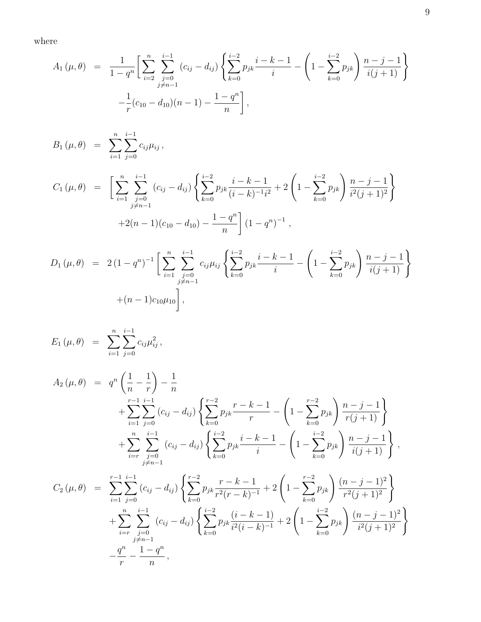where

$$
A_1(\mu,\theta) = \frac{1}{1-q^n} \bigg[ \sum_{i=2}^n \sum_{\substack{j=0 \ j \neq n-1}}^{i-1} (c_{ij} - d_{ij}) \left\{ \sum_{k=0}^{i-2} p_{jk} \frac{i-k-1}{i} - \left( 1 - \sum_{k=0}^{i-2} p_{jk} \right) \frac{n-j-1}{i(j+1)} \right\} - \frac{1}{r} (c_{10} - d_{10})(n-1) - \frac{1-q^n}{n} \bigg],
$$

$$
B_{1}(\mu, \theta) = \sum_{i=1}^{n} \sum_{j=0}^{i-1} c_{ij} \mu_{ij},
$$
  
\n
$$
C_{1}(\mu, \theta) = \left[ \sum_{i=1}^{n} \sum_{\substack{j=0 \ j \neq n-1}}^{i-1} (c_{ij} - d_{ij}) \left\{ \sum_{k=0}^{i-2} p_{jk} \frac{i-k-1}{(i-k)^{-1}i^{2}} + 2 \left( 1 - \sum_{k=0}^{i-2} p_{jk} \right) \frac{n-j-1}{i^{2}(j+1)^{2}} \right\}
$$
  
\n
$$
+ 2(n-1)(c_{10} - d_{10}) - \frac{1-q^{n}}{n} \left[ (1-q^{n})^{-1} \right],
$$
  
\n
$$
D_{1}(\mu, \theta) = 2(1 - \sigma^{n})^{-1} \left[ \sum_{k=0}^{n} \sum_{j=0}^{i-1} c_{kj} \mu_{ij} \sum_{j=0}^{i-1} \frac{i-k-1}{k} \left( 1 - \sum_{k=0}^{i-2} \mu_{jk} \right) n - j - j \right].
$$

$$
D_1(\mu,\theta) = 2(1-q^n)^{-1} \left[ \sum_{i=1}^n \sum_{\substack{j=0 \ j \neq n-1}}^{i-1} c_{ij} \mu_{ij} \left\{ \sum_{k=0}^{i-2} p_{jk} \frac{i-k-1}{i} - \left( 1 - \sum_{k=0}^{i-2} p_{jk} \right) \frac{n-j-1}{i(j+1)} \right\} + (n-1)c_{10}\mu_{10} \right],
$$

$$
E_{1}(\mu, \theta) = \sum_{i=1}^{n} \sum_{j=0}^{i-1} c_{ij} \mu_{ij}^{2},
$$
  
\n
$$
A_{2}(\mu, \theta) = q^{n} \left(\frac{1}{n} - \frac{1}{r}\right) - \frac{1}{n}
$$
  
\n
$$
+ \sum_{i=1}^{r-1} \sum_{j=0}^{i-1} (c_{ij} - d_{ij}) \left\{ \sum_{k=0}^{r-2} p_{jk} \frac{r-k-1}{r} - \left(1 - \sum_{k=0}^{r-2} p_{jk}\right) \frac{n-j-1}{r(j+1)} \right\}
$$
  
\n
$$
+ \sum_{i=r}^{n} \sum_{j=0}^{i-1} (c_{ij} - d_{ij}) \left\{ \sum_{k=0}^{i-2} p_{jk} \frac{i-k-1}{i} - \left(1 - \sum_{k=0}^{i-2} p_{jk}\right) \frac{n-j-1}{i(j+1)} \right\},
$$
  
\n
$$
C_{2}(\mu, \theta) = \sum_{i=1}^{r-1} \sum_{j=0}^{i-1} (c_{ij} - d_{ij}) \left\{ \sum_{k=0}^{r-2} p_{jk} \frac{r-k-1}{r^2(r-k)^{-1}} + 2 \left(1 - \sum_{k=0}^{r-2} p_{jk}\right) \frac{(n-j-1)^{2}}{r^2(j+1)^{2}} \right\}
$$
  
\n
$$
+ \sum_{i=r}^{n} \sum_{j=0}^{i-1} (c_{ij} - d_{ij}) \left\{ \sum_{k=0}^{i-2} p_{jk} \frac{(i-k-1)}{i^2(i-k)^{-1}} + 2 \left(1 - \sum_{k=0}^{i-2} p_{jk}\right) \frac{(n-j-1)^{2}}{i^2(j+1)^{2}} \right\}
$$

 $-\frac{q^n}{q}$ r

 $-\frac{1-q^n}{n}$ n

,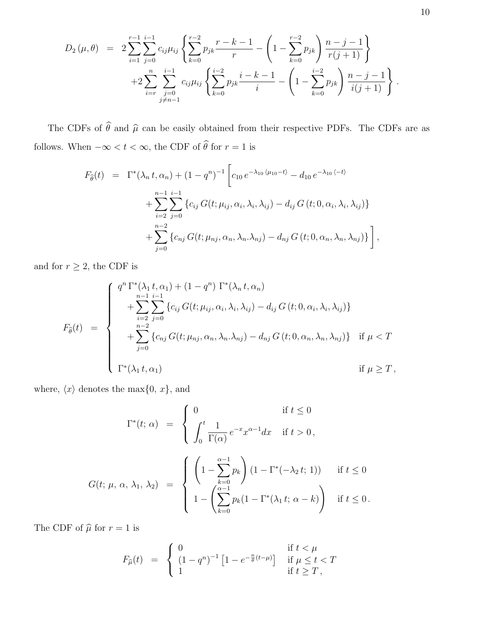$$
D_2(\mu,\theta) = 2\sum_{i=1}^{r-1} \sum_{j=0}^{i-1} c_{ij} \mu_{ij} \left\{ \sum_{k=0}^{r-2} p_{jk} \frac{r-k-1}{r} - \left(1 - \sum_{k=0}^{r-2} p_{jk}\right) \frac{n-j-1}{r(j+1)} \right\} + 2\sum_{i=r}^{n} \sum_{\substack{j=0 \ j \neq n-1}}^{i-1} c_{ij} \mu_{ij} \left\{ \sum_{k=0}^{i-2} p_{jk} \frac{i-k-1}{i} - \left(1 - \sum_{k=0}^{i-2} p_{jk}\right) \frac{n-j-1}{i(j+1)} \right\}.
$$

The CDFs of  $\widehat{\theta}$  and  $\widehat{\mu}$  can be easily obtained from their respective PDFs. The CDFs are as follows. When  $-\infty < t < \infty,$  the CDF of  $\widehat{\theta}$  for  $r=1$  is

$$
F_{\hat{\theta}}(t) = \Gamma^*(\lambda_n t, \alpha_n) + (1 - q^n)^{-1} \left[ c_{10} e^{-\lambda_{10} \langle \mu_{10} - t \rangle} - d_{10} e^{-\lambda_{10} \langle -t \rangle} \right]
$$
  
+ 
$$
\sum_{i=2}^{n-1} \sum_{j=0}^{i-1} \left\{ c_{ij} G(t; \mu_{ij}, \alpha_i, \lambda_i, \lambda_{ij}) - d_{ij} G(t; 0, \alpha_i, \lambda_i, \lambda_{ij}) \right\}
$$
  
+ 
$$
\sum_{j=0}^{n-2} \left\{ c_{nj} G(t; \mu_{nj}, \alpha_n, \lambda_n, \lambda_{nj}) - d_{nj} G(t; 0, \alpha_n, \lambda_n, \lambda_{nj}) \right\} \right],
$$

and for  $r\geq 2,$  the CDF is

$$
F_{\hat{\theta}}(t) = \begin{cases} q^n \Gamma^*(\lambda_1 t, \alpha_1) + (1 - q^n) \Gamma^*(\lambda_n t, \alpha_n) \\ + \sum_{i=2}^{n-1} \sum_{j=0}^{i-1} \{c_{ij} G(t; \mu_{ij}, \alpha_i, \lambda_i, \lambda_{ij}) - d_{ij} G(t; 0, \alpha_i, \lambda_i, \lambda_{ij})\} \\ + \sum_{j=0}^{n-2} \{c_{nj} G(t; \mu_{nj}, \alpha_n, \lambda_n, \lambda_{nj}) - d_{nj} G(t; 0, \alpha_n, \lambda_n, \lambda_{nj})\} & \text{if } \mu < T \\ \Gamma^*(\lambda_1 t, \alpha_1) & \text{if } \mu \geq T, \end{cases}
$$

where,  $\langle x \rangle$  denotes the max $\{0, x\}$ , and

$$
\Gamma^*(t; \alpha) = \begin{cases}\n0 & \text{if } t \le 0 \\
\int_0^t \frac{1}{\Gamma(\alpha)} e^{-x} x^{\alpha-1} dx & \text{if } t > 0, \\
G(t; \mu, \alpha, \lambda_1, \lambda_2) = \begin{cases}\n\left(1 - \sum_{k=0}^{\alpha-1} p_k\right) (1 - \Gamma^*(-\lambda_2 t; 1)) & \text{if } t \le 0 \\
1 - \left(\sum_{k=0}^{\alpha-1} p_k (1 - \Gamma^*(\lambda_1 t; \alpha - k)\right) & \text{if } t \le 0.\n\end{cases}
$$

The CDF of  $\hat{\mu}$  for  $r = 1$  is

$$
F_{\widehat{\mu}}(t) = \begin{cases} 0 & \text{if } t < \mu \\ (1 - q^n)^{-1} \left[ 1 - e^{-\frac{n}{\theta}(t - \mu)} \right] & \text{if } \mu \le t < T \\ 1 & \text{if } t \ge T \end{cases}
$$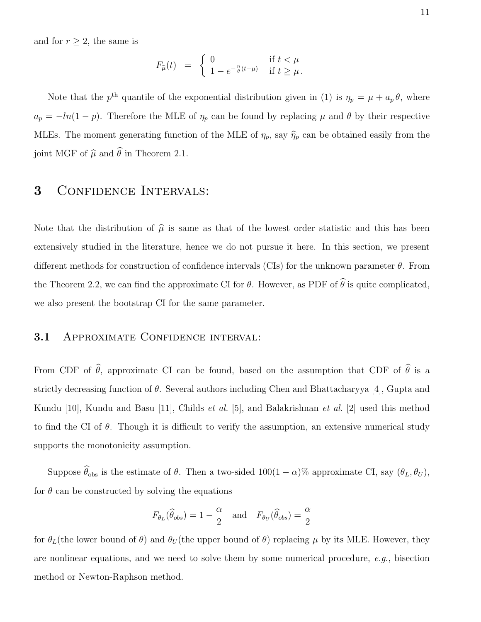and for  $r \geq 2$ , the same is

$$
F_{\widehat{\mu}}(t) = \begin{cases} 0 & \text{if } t < \mu \\ 1 - e^{-\frac{n}{\theta}(t-\mu)} & \text{if } t \ge \mu. \end{cases}
$$

Note that the  $p^{\text{th}}$  quantile of the exponential distribution given in (1) is  $\eta_p = \mu + a_p \theta$ , where  $a_p = -\ln(1-p)$ . Therefore the MLE of  $\eta_p$  can be found by replacing  $\mu$  and  $\theta$  by their respective MLEs. The moment generating function of the MLE of  $\eta_p$ , say  $\widehat{\eta}_p$  can be obtained easily from the joint MGF of  $\widehat{\mu}$  and  $\widehat{\theta}$  in Theorem 2.1.

## 3 Confidence Intervals:

Note that the distribution of  $\hat{\mu}$  is same as that of the lowest order statistic and this has been extensively studied in the literature, hence we do not pursue it here. In this section, we present different methods for construction of confidence intervals (CIs) for the unknown parameter  $\theta$ . From the Theorem 2.2, we can find the approximate CI for  $\theta$ . However, as PDF of  $\widehat{\theta}$  is quite complicated, we also present the bootstrap CI for the same parameter.

### 3.1 APPROXIMATE CONFIDENCE INTERVAL:

From CDF of  $\hat{\theta}$ , approximate CI can be found, based on the assumption that CDF of  $\hat{\theta}$  is a strictly decreasing function of  $\theta$ . Several authors including Chen and Bhattacharyya [4], Gupta and Kundu [10], Kundu and Basu [11], Childs et al. [5], and Balakrishnan et al. [2] used this method to find the CI of  $\theta$ . Though it is difficult to verify the assumption, an extensive numerical study supports the monotonicity assumption.

Suppose  $\widehat{\theta}_{obs}$  is the estimate of  $\theta$ . Then a two-sided 100(1 –  $\alpha$ )% approximate CI, say  $(\theta_L, \theta_U)$ , for  $\theta$  can be constructed by solving the equations

$$
F_{\theta_L}(\widehat{\theta}_{obs}) = 1 - \frac{\alpha}{2}
$$
 and  $F_{\theta_U}(\widehat{\theta}_{obs}) = \frac{\alpha}{2}$ 

for  $\theta_L$ (the lower bound of  $\theta$ ) and  $\theta_U$ (the upper bound of  $\theta$ ) replacing  $\mu$  by its MLE. However, they are nonlinear equations, and we need to solve them by some numerical procedure,  $e.g.,$  bisection method or Newton-Raphson method.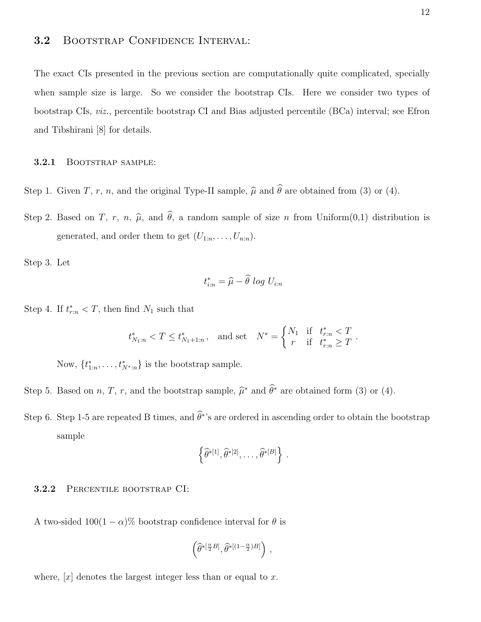### 3.2 Bootstrap Confidence Interval:

The exact CIs presented in the previous section are computationally quite complicated, specially when sample size is large. So we consider the bootstrap CIs. Here we consider two types of bootstrap CIs, viz., percentile bootstrap CI and Bias adjusted percentile (BCa) interval; see Efron and Tibshirani [8] for details.

#### 3.2.1 BOOTSTRAP SAMPLE:

Step 1. Given T, r, n, and the original Type-II sample,  $\hat{\mu}$  and  $\hat{\theta}$  are obtained from (3) or (4).

Step 2. Based on T, r, n,  $\hat{\mu}$ , and  $\hat{\theta}$ , a random sample of size n from Uniform $(0,1)$  distribution is generated, and order them to get  $(U_{1:n},...,U_{n:n})$ .

Step 3. Let

$$
t_{i:n}^* = \widehat{\mu} - \widehat{\theta} \log U_{i:n}
$$

Step 4. If  $t_{r:n}^* < T$ , then find  $N_1$  such that

$$
t_{N_1:n}^* < T \le t_{N_1+1:n}^*
$$
, and set  $N^* = \begin{cases} N_1 & \text{if } t_{r:n}^* < T \\ r & \text{if } t_{r:n}^* \ge T \end{cases}$ .

Now,  $\{t_{1:n}^*, \ldots, t_{N^*,n}^*\}$  is the bootstrap sample.

- Step 5. Based on *n*, *T*, *r*, and the bootstrap sample,  $\hat{\mu}^*$  and  $\hat{\theta}^*$  are obtained form (3) or (4).
- Step 6. Step 1-5 are repeated B times, and  $\hat{\theta}^*$ 's are ordered in ascending order to obtain the bootstrap sample

$$
\left\{\widehat{\theta}^{*[1]},\widehat{\theta}^{*[2]},\ldots,\widehat{\theta}^{*[B]}\right\}.
$$

#### 3.2.2 Percentile bootstrap CI:

A two-sided  $100(1 - \alpha)$ % bootstrap confidence interval for  $\theta$  is

$$
\left( \widehat{\theta}^{*[\frac{\alpha}{2}B]}, \widehat{\theta}^{*[(1-\frac{\alpha}{2})B]} \right) \, ,
$$

where,  $[x]$  denotes the largest integer less than or equal to x.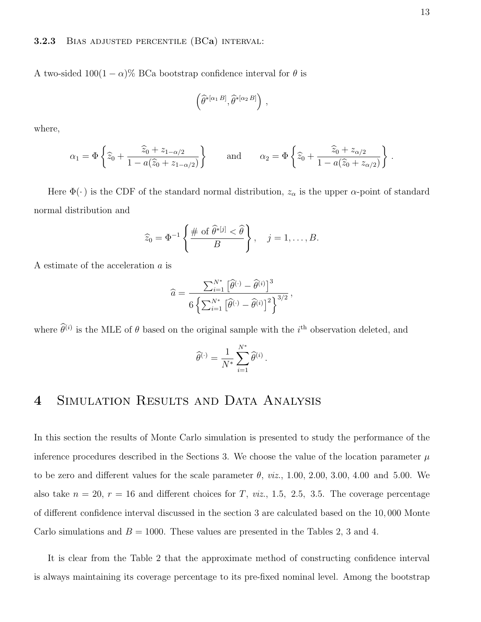#### **3.2.3** BIAS ADJUSTED PERCENTILE  $(BCa)$  INTERVAL:

A two-sided  $100(1 - \alpha)$ % BCa bootstrap confidence interval for  $\theta$  is

$$
\left(\widehat{\theta}^{*[\alpha_1 B]}, \widehat{\theta}^{*[\alpha_2 B]}\right),
$$

where,

$$
\alpha_1 = \Phi\left\{\hat{z}_0 + \frac{\hat{z}_0 + z_{1-\alpha/2}}{1 - a(\hat{z}_0 + z_{1-\alpha/2})}\right\} \quad \text{and} \quad \alpha_2 = \Phi\left\{\hat{z}_0 + \frac{\hat{z}_0 + z_{\alpha/2}}{1 - a(\hat{z}_0 + z_{\alpha/2})}\right\}.
$$

Here  $\Phi(\cdot)$  is the CDF of the standard normal distribution,  $z_{\alpha}$  is the upper  $\alpha$ -point of standard normal distribution and

$$
\widehat{z}_0 = \Phi^{-1}\left\{\frac{\# \text{ of }\widehat{\theta}^{*[j]} < \widehat{\theta}}{B}\right\}, \quad j = 1, \ldots, B.
$$

A estimate of the acceleration a is

$$
\widehat{a} = \frac{\sum_{i=1}^{N^*} \left[ \widehat{\theta}^{(\cdot)} - \widehat{\theta}^{(i)} \right]^3}{6 \left\{ \sum_{i=1}^{N^*} \left[ \widehat{\theta}^{(\cdot)} - \widehat{\theta}^{(i)} \right]^2 \right\}^{3/2}},
$$

where  $\hat{\theta}^{(i)}$  is the MLE of  $\theta$  based on the original sample with the *i*<sup>th</sup> observation deleted, and

$$
\widehat{\theta}^{(\cdot)} = \frac{1}{N^*} \sum_{i=1}^{N^*} \widehat{\theta}^{(i)}.
$$

# 4 SIMULATION RESULTS AND DATA ANALYSIS

In this section the results of Monte Carlo simulation is presented to study the performance of the inference procedures described in the Sections 3. We choose the value of the location parameter  $\mu$ to be zero and different values for the scale parameter  $\theta$ , *viz.*, 1.00, 2.00, 3.00, 4.00 and 5.00. We also take  $n = 20$ ,  $r = 16$  and different choices for T, viz., 1.5, 2.5, 3.5. The coverage percentage of different confidence interval discussed in the section 3 are calculated based on the 10, 000 Monte Carlo simulations and  $B = 1000$ . These values are presented in the Tables 2, 3 and 4.

It is clear from the Table 2 that the approximate method of constructing confidence interval is always maintaining its coverage percentage to its pre-fixed nominal level. Among the bootstrap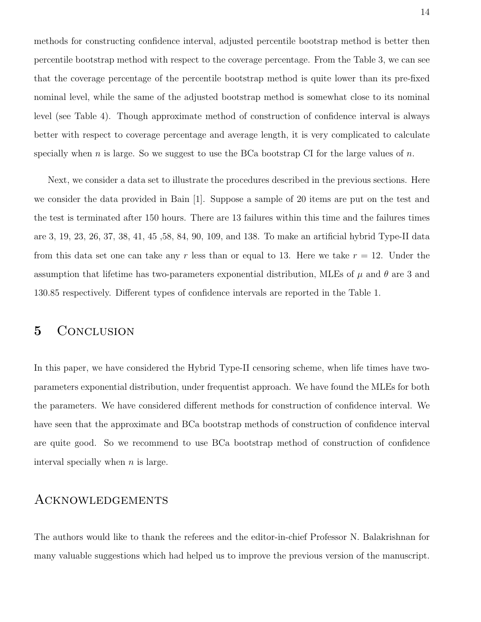methods for constructing confidence interval, adjusted percentile bootstrap method is better then percentile bootstrap method with respect to the coverage percentage. From the Table 3, we can see that the coverage percentage of the percentile bootstrap method is quite lower than its pre-fixed nominal level, while the same of the adjusted bootstrap method is somewhat close to its nominal level (see Table 4). Though approximate method of construction of confidence interval is always better with respect to coverage percentage and average length, it is very complicated to calculate specially when n is large. So we suggest to use the BCa bootstrap CI for the large values of  $n$ .

Next, we consider a data set to illustrate the procedures described in the previous sections. Here we consider the data provided in Bain [1]. Suppose a sample of 20 items are put on the test and the test is terminated after 150 hours. There are 13 failures within this time and the failures times are 3, 19, 23, 26, 37, 38, 41, 45 ,58, 84, 90, 109, and 138. To make an artificial hybrid Type-II data from this data set one can take any r less than or equal to 13. Here we take  $r = 12$ . Under the assumption that lifetime has two-parameters exponential distribution, MLEs of  $\mu$  and  $\theta$  are 3 and 130.85 respectively. Different types of confidence intervals are reported in the Table 1.

### 5 CONCLUSION

In this paper, we have considered the Hybrid Type-II censoring scheme, when life times have twoparameters exponential distribution, under frequentist approach. We have found the MLEs for both the parameters. We have considered different methods for construction of confidence interval. We have seen that the approximate and BCa bootstrap methods of construction of confidence interval are quite good. So we recommend to use BCa bootstrap method of construction of confidence interval specially when  $n$  is large.

### Acknowledgements

The authors would like to thank the referees and the editor-in-chief Professor N. Balakrishnan for many valuable suggestions which had helped us to improve the previous version of the manuscript.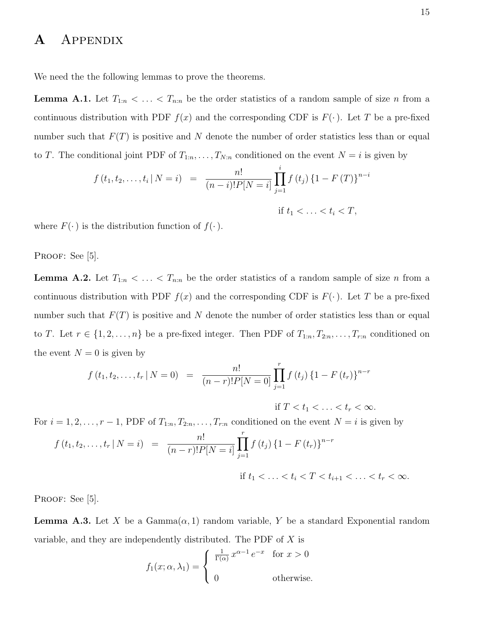## A Appendix

We need the the following lemmas to prove the theorems.

**Lemma A.1.** Let  $T_{1:n} < \ldots < T_{n:n}$  be the order statistics of a random sample of size n from a continuous distribution with PDF  $f(x)$  and the corresponding CDF is  $F(\cdot)$ . Let T be a pre-fixed number such that  $F(T)$  is positive and N denote the number of order statistics less than or equal to T. The conditional joint PDF of  $T_{1:n}, \ldots, T_{N:n}$  conditioned on the event  $N = i$  is given by

$$
f(t_1, t_2, \dots, t_i \mid N = i) = \frac{n!}{(n-i)! P[N = i]} \prod_{j=1}^i f(t_j) \{1 - F(T)\}^{n-i}
$$
  
if  $t_1 < \dots < t_i < T$ ,

where  $F(\cdot)$  is the distribution function of  $f(\cdot)$ .

PROOF: See [5].

**Lemma A.2.** Let  $T_{1:n} < ... < T_{n:n}$  be the order statistics of a random sample of size n from a continuous distribution with PDF  $f(x)$  and the corresponding CDF is  $F(\cdot)$ . Let T be a pre-fixed number such that  $F(T)$  is positive and N denote the number of order statistics less than or equal to T. Let  $r \in \{1, 2, \ldots, n\}$  be a pre-fixed integer. Then PDF of  $T_{1:n}, T_{2:n}, \ldots, T_{r:n}$  conditioned on the event  $N = 0$  is given by

$$
f(t_1, t_2, \dots, t_r \mid N = 0) = \frac{n!}{(n-r)! P[N = 0]} \prod_{j=1}^r f(t_j) \{1 - F(t_r)\}^{n-r}
$$
  
if  $T < t_1 < \dots < t_r < \infty$ .

For  $i = 1, 2, \ldots, r - 1$ , PDF of  $T_{1:n}, T_{2:n}, \ldots, T_{r:n}$  conditioned on the event  $N = i$  is given by

$$
f(t_1, t_2, \dots, t_r \mid N = i) = \frac{n!}{(n-r)! P[N = i]} \prod_{j=1}^r f(t_j) \{1 - F(t_r)\}^{n-r}
$$
  
if  $t_1 < \dots < t_i < T < t_{i+1} < \dots < t_r < \infty$ .

PROOF: See [5].

**Lemma A.3.** Let X be a Gamma $(\alpha, 1)$  random variable, Y be a standard Exponential random variable, and they are independently distributed. The PDF of  $X$  is

$$
f_1(x; \alpha, \lambda_1) = \begin{cases} \frac{1}{\Gamma(\alpha)} x^{\alpha - 1} e^{-x} & \text{for } x > 0 \\ 0 & \text{otherwise.} \end{cases}
$$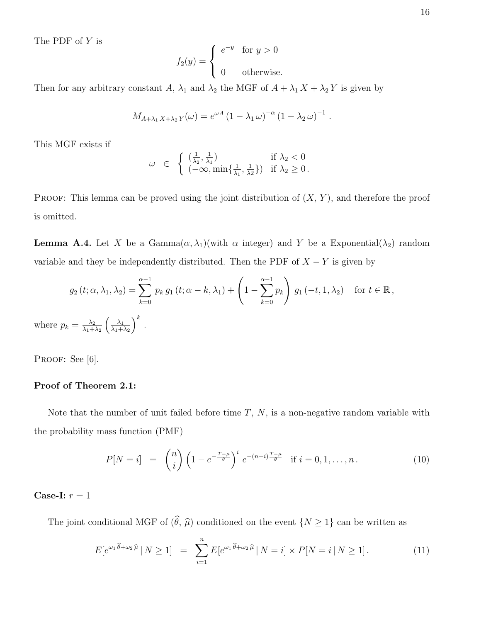The PDF of Y is

$$
f_2(y) = \begin{cases} e^{-y} & \text{for } y > 0 \\ 0 & \text{otherwise.} \end{cases}
$$

Then for any arbitrary constant A,  $\lambda_1$  and  $\lambda_2$  the MGF of  $A + \lambda_1 X + \lambda_2 Y$  is given by

$$
M_{A+\lambda_1 X+\lambda_2 Y}(\omega) = e^{\omega A} (1 - \lambda_1 \omega)^{-\alpha} (1 - \lambda_2 \omega)^{-1}.
$$

This MGF exists if

$$
\omega \in \begin{cases} \left(\frac{1}{\lambda_2}, \frac{1}{\lambda_1}\right) & \text{if } \lambda_2 < 0\\ \left(-\infty, \min\{\frac{1}{\lambda_1}, \frac{1}{\lambda_2}\}\right) & \text{if } \lambda_2 \ge 0. \end{cases}
$$

**PROOF:** This lemma can be proved using the joint distribution of  $(X, Y)$ , and therefore the proof is omitted.

**Lemma A.4.** Let X be a Gamma $(\alpha, \lambda_1)$ (with  $\alpha$  integer) and Y be a Exponential( $\lambda_2$ ) random variable and they be independently distributed. Then the PDF of  $X - Y$  is given by

$$
g_2(t; \alpha, \lambda_1, \lambda_2) = \sum_{k=0}^{\alpha-1} p_k g_1(t; \alpha-k, \lambda_1) + \left(1 - \sum_{k=0}^{\alpha-1} p_k\right) g_1(-t, 1, \lambda_2) \quad \text{for } t \in \mathbb{R},
$$
  
where  $p_k = \frac{\lambda_2}{\lambda_1 + \lambda_2} \left(\frac{\lambda_1}{\lambda_1 + \lambda_2}\right)^k$ .

PROOF: See [6].

#### Proof of Theorem 2.1:

Note that the number of unit failed before time  $T, N$ , is a non-negative random variable with the probability mass function (PMF)

$$
P[N = i] = {n \choose i} \left(1 - e^{-\frac{T - \mu}{\theta}}\right)^i e^{-(n - i)\frac{T - \mu}{\theta}} \text{ if } i = 0, 1, ..., n. \tag{10}
$$

#### Case-I:  $r = 1$

The joint conditional MGF of  $(\widehat{\theta}, \widehat{\mu})$  conditioned on the event  $\{N \geq 1\}$  can be written as

$$
E[e^{\omega_1 \widehat{\theta} + \omega_2 \widehat{\mu}} \mid N \ge 1] = \sum_{i=1}^n E[e^{\omega_1 \widehat{\theta} + \omega_2 \widehat{\mu}} \mid N = i] \times P[N = i \mid N \ge 1]. \tag{11}
$$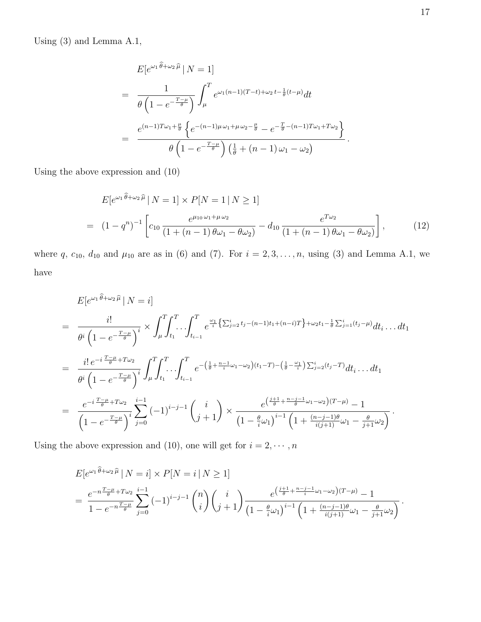Using (3) and Lemma A.1,

$$
E[e^{\omega_1 \hat{\theta} + \omega_2 \hat{\mu}} | N = 1]
$$
  
= 
$$
\frac{1}{\theta \left(1 - e^{-\frac{T - \mu}{\theta}}\right)} \int_{\mu}^{T} e^{\omega_1 (n - 1)(T - t) + \omega_2 t - \frac{1}{\theta}(t - \mu)} dt
$$
  
= 
$$
\frac{e^{(n-1)T\omega_1 + \frac{\mu}{\theta} \left\{e^{-(n-1)\mu\omega_1 + \mu\omega_2 - \frac{\mu}{\theta}} - e^{-\frac{T}{\theta} - (n-1)T\omega_1 + T\omega_2}\right\}}{\theta \left(1 - e^{-\frac{T - \mu}{\theta}}\right) \left(\frac{1}{\theta} + (n - 1)\omega_1 - \omega_2\right)}.
$$

Using the above expression and (10)

$$
E[e^{\omega_1 \hat{\theta} + \omega_2 \hat{\mu}} | N = 1] \times P[N = 1 | N \ge 1]
$$
  
= 
$$
(1 - q^n)^{-1} \left[ c_{10} \frac{e^{\mu_{10} \omega_1 + \mu \omega_2}}{(1 + (n - 1) \theta \omega_1 - \theta \omega_2)} - d_{10} \frac{e^{T \omega_2}}{(1 + (n - 1) \theta \omega_1 - \theta \omega_2)} \right],
$$
 (12)

where q,  $c_{10}$ ,  $d_{10}$  and  $\mu_{10}$  are as in (6) and (7). For  $i = 2, 3, ..., n$ , using (3) and Lemma A.1, we have

$$
E[e^{\omega_1 \hat{\theta} + \omega_2 \hat{\mu}} | N = i]
$$
\n
$$
= \frac{i!}{\theta^i \left(1 - e^{-\frac{T - \mu}{\theta}}\right)^i} \times \int_{\mu}^T \int_{t_1}^T \dots \int_{t_{i-1}}^T e^{\frac{\omega_1}{i} \left\{\sum_{j=2}^i t_j - (n-1)t_1 + (n-i)T\right\} + \omega_2 t_1 - \frac{1}{\theta} \sum_{j=1}^i (t_j - \mu)} dt_i \dots dt_1
$$
\n
$$
= \frac{i! e^{-i \frac{T - \mu}{\theta} + T\omega_2}}{\theta^i \left(1 - e^{-\frac{T - \mu}{\theta}}\right)^i} \int_{\mu}^T \int_{t_1}^T \dots \int_{t_{i-1}}^T e^{-\left(\frac{1}{\theta} + \frac{n-1}{i}\omega_1 - \omega_2\right)(t_1 - T) - \left(\frac{1}{\theta} - \frac{\omega_1}{i}\right) \sum_{j=2}^i (t_j - T)} dt_i \dots dt_1
$$
\n
$$
= \frac{e^{-i \frac{T - \mu}{\theta} + T\omega_2}}{\left(1 - e^{-\frac{T - \mu}{\theta}}\right)^i} \sum_{j=0}^{i-1} (-1)^{i-j-1} \binom{i}{j+1} \times \frac{e^{\left(\frac{j+1}{\theta} + \frac{n-j-1}{\theta}\omega_1 - \omega_2\right)(T - \mu)} - 1}{\left(1 - \frac{\theta}{i}\omega_1\right)^{i-1} \left(1 + \frac{(n-j-1)\theta}{i(j+1)}\omega_1 - \frac{\theta}{j+1}\omega_2\right)}.
$$

Using the above expression and (10), one will get for  $i=2,\cdots,n$ 

$$
E[e^{\omega_1 \hat{\theta} + \omega_2 \hat{\mu}} | N = i] \times P[N = i | N \ge 1]
$$
  
= 
$$
\frac{e^{-n\frac{T-\mu}{\hat{\theta}} + T\omega_2} \sum_{j=0}^{i-1} (-1)^{i-j-1} {n \choose i} {i \choose j+1} \frac{e^{\left(\frac{j+1}{\hat{\theta}} + \frac{n-j-1}{i}\omega_1 - \omega_2\right)(T-\mu)} - 1}{\left(1 - \frac{\theta}{i}\omega_1\right)^{i-1} \left(1 + \frac{(n-j-1)\theta}{i(j+1)}\omega_1 - \frac{\theta}{j+1}\omega_2\right)}.
$$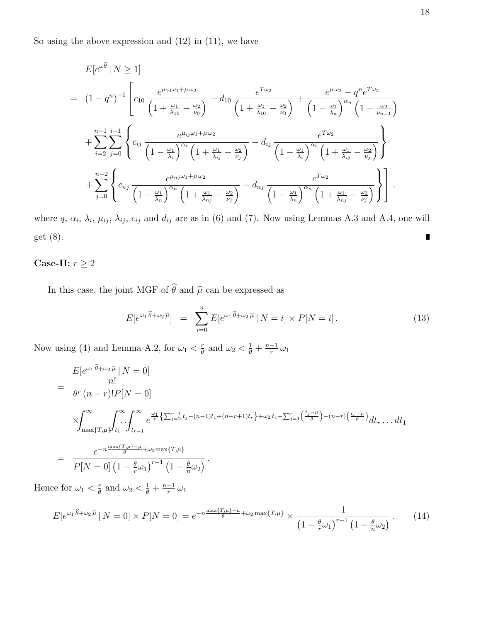So using the above expression and  $(12)$  in  $(11)$ , we have

$$
E[e^{\omega\hat{\theta}}|N \ge 1]
$$
\n
$$
= (1-q^n)^{-1} \left[ c_{10} \frac{e^{\mu_{10}\omega_1 + \mu \omega_2}}{\left(1 + \frac{\omega_1}{\lambda_{10}} - \frac{\omega_2}{\nu_0}\right)} - d_{10} \frac{e^{T\omega_2}}{\left(1 + \frac{\omega_1}{\lambda_{10}} - \frac{\omega_2}{\nu_0}\right)} + \frac{e^{\mu \omega_2} - q^n e^{T\omega_2}}{\left(1 - \frac{\omega_1}{\lambda_n}\right)^{\alpha_n} \left(1 - \frac{\omega_2}{\nu_{n-1}}\right)} + \sum_{i=2}^{n-1} \sum_{j=0}^{i-1} \left\{ c_{ij} \frac{e^{\mu_{ij}\omega_1 + \mu \omega_2}}{\left(1 - \frac{\omega_1}{\lambda_i}\right)^{\alpha_i} \left(1 + \frac{\omega_1}{\lambda_{ij}} - \frac{\omega_2}{\nu_j}\right)} - d_{ij} \frac{e^{T\omega_2}}{\left(1 - \frac{\omega_1}{\lambda_i}\right)^{\alpha_i} \left(1 + \frac{\omega_1}{\lambda_{ij}} - \frac{\omega_2}{\nu_j}\right)} \right\} + \sum_{j=0}^{n-2} \left\{ c_{nj} \frac{e^{\mu_{nj}\omega_1 + \mu \omega_2}}{\left(1 - \frac{\omega_1}{\lambda_n}\right)^{\alpha_n} \left(1 + \frac{\omega_1}{\lambda_{nj}} - \frac{\omega_2}{\nu_j}\right)} - d_{nj} \frac{e^{T\omega_2}}{\left(1 - \frac{\omega_1}{\lambda_n}\right)^{\alpha_n} \left(1 + \frac{\omega_1}{\lambda_{nj}} - \frac{\omega_2}{\nu_j}\right)} \right\} .
$$

where  $q, \alpha_i, \lambda_i, \mu_{ij}, \lambda_{ij}, c_{ij}$  and  $d_{ij}$  are as in (6) and (7). Now using Lemmas A.3 and A.4, one will get (8).  $\blacksquare$ 

### Case-II:  $r\geq 2$

In this case, the joint MGF of  $\widehat{\theta}$  and  $\widehat{\mu}$  can be expressed as

$$
E[e^{\omega_1 \widehat{\theta} + \omega_2 \widehat{\mu}}] = \sum_{i=0}^{n} E[e^{\omega_1 \widehat{\theta} + \omega_2 \widehat{\mu}} | N = i] \times P[N = i]. \tag{13}
$$

Now using (4) and Lemma A.2, for  $\omega_1 < \frac{r}{\theta}$  $\frac{r}{\theta}$  and  $\omega_2 < \frac{1}{\theta} + \frac{n-1}{r}$  $\frac{-1}{r} \omega_1$ 

$$
E[e^{\omega_1 \theta + \omega_2 \widehat{\mu}} | N = 0]
$$
\n
$$
= \frac{n!}{\theta^r (n-r)! P[N = 0]}
$$
\n
$$
\times \int_{\max\{T, \mu\}}^{\infty} \int_{t_1}^{\infty} \int_{t_{r-1}}^{\infty} e^{\frac{\omega_1}{r} \left\{ \sum_{j=2}^{r-1} t_j - (n-1)t_1 + (n-r+1)t_r \right\} + \omega_2 t_1 - \sum_{j=1}^{r} \left( \frac{t_j - \mu}{\theta} \right) - (n-r) \left( \frac{t_r - \mu}{\theta} \right)} dt_r \dots dt_1
$$
\n
$$
= \frac{e^{-n \frac{\max\{T, \mu\} - \mu}{\theta} + \omega_2 \max\{T, \mu\}}}{P[N = 0] \left(1 - \frac{\theta}{r} \omega_1\right)^{r-1} \left(1 - \frac{\theta}{n} \omega_2\right)}.
$$

Hence for  $\omega_1 < \frac{r}{\theta}$  $\frac{r}{\theta}$  and  $\omega_2 < \frac{1}{\theta} + \frac{n-1}{r}$  $\frac{-1}{r} \omega_1$ 

$$
E[e^{\omega_1 \widehat{\theta} + \omega_2 \widehat{\mu}} \mid N = 0] \times P[N = 0] = e^{-n \frac{\max\{T, \mu\} - \mu}{\theta} + \omega_2 \max\{T, \mu\}} \times \frac{1}{\left(1 - \frac{\theta}{r}\omega_1\right)^{r-1} \left(1 - \frac{\theta}{n}\omega_2\right)}.
$$
(14)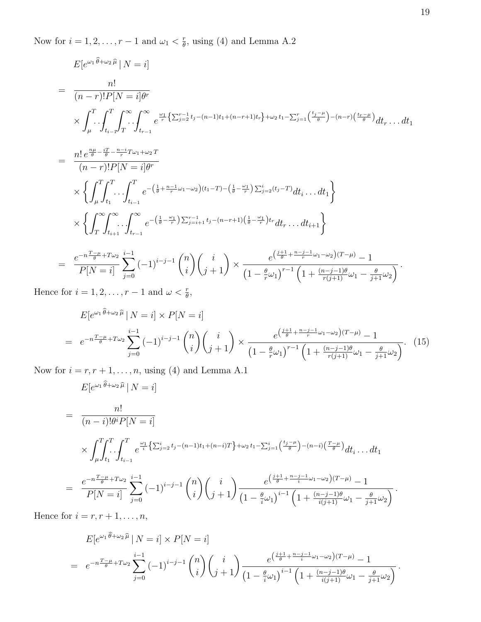Now for  $i = 1, 2, \ldots, r - 1$  and  $\omega_1 < \frac{r}{\theta}$  $\frac{r}{\theta}$ , using (4) and Lemma A.2

$$
E[e^{\omega_1 \hat{\theta} + \omega_2 \hat{\mu}} | N = i]
$$
\n
$$
= \frac{n!}{(n-r)!P[N = i]\theta^r}
$$
\n
$$
\times \int_{\mu}^{T} \int_{t_{i-1}}^{T} \int_{T}^{\infty} \int_{t_{r-1}}^{\infty} e^{\frac{\omega_1}{r} \left\{ \sum_{j=2}^{r-1} t_j - (n-1)t_1 + (n-r+1)t_r \right\} + \omega_2 t_1 - \sum_{j=1}^{r} \left( \frac{t_j - \mu}{\theta} \right) - (n-r)\left( \frac{t_r - \mu}{\theta} \right)} dt_r \dots dt_1
$$
\n
$$
= \frac{n! e^{\frac{n\mu}{\theta} - \frac{iT}{\theta} - \frac{n-i}{r}T\omega_1 + \omega_2 T}}{(n-r)!P[N = i]\theta^r}
$$
\n
$$
\times \left\{ \int_{\mu}^{T} \int_{t_{i-1}}^{T} \cdots \int_{t_{i-1}}^{T} e^{-\left( \frac{1}{\theta} + \frac{n-1}{r} \omega_1 - \omega_2 \right)(t_1 - T) - \left( \frac{1}{\theta} - \frac{\omega_1}{r} \right) \sum_{j=2}^{i} (t_j - T)} dt_i \dots dt_1 \right\}
$$
\n
$$
\times \left\{ \int_{T}^{\infty} \int_{t_{i+1}}^{\infty} \cdots \int_{t_{r-1}}^{\infty} e^{-\left( \frac{1}{\theta} - \frac{\omega_1}{r} \right) \sum_{j=i+1}^{r-1} t_j - (n-r+1) \left( \frac{1}{\theta} - \frac{\omega_1}{r} \right) t_r} dt_r \dots dt_{i+1} \right\}
$$
\n
$$
= \frac{e^{-n \frac{T-\mu}{\theta} + T\omega_2}}{P[N = i]} \sum_{j=0}^{i-1} (-1)^{i-j-1} {n \choose i} {i \choose j+1} \times \frac{e^{\left( \frac{j+1}{\theta} + \frac{n-j-1}{r} \omega_1 - \omega_2 \right)(T-\mu)} (1 + \frac{(n-j-1)\theta}{r(j+1)} \omega_1 - \frac{\theta}{j+1} \omega_2}.
$$

Hence for  $i = 1, 2, ..., r - 1$  and  $\omega < \frac{r}{\theta}$ ,

$$
E[e^{\omega_1 \widehat{\theta} + \omega_2 \widehat{\mu}} | N = i] \times P[N = i]
$$
  
=  $e^{-n\frac{T-\mu}{\theta} + T\omega_2} \sum_{j=0}^{i-1} (-1)^{i-j-1} {n \choose i} {i \choose j+1} \times \frac{e^{\left(\frac{j+1}{\theta} + \frac{n-j-1}{r}\omega_1 - \omega_2\right)(T-\mu)} - 1}{\left(1 - \frac{\theta}{r}\omega_1\right)^{r-1} \left(1 + \frac{(n-j-1)\theta}{r(j+1)}\omega_1 - \frac{\theta}{j+1}\omega_2\right)}$ . (15)

Now for  $i = r, r + 1, \ldots, n$ , using (4) and Lemma A.1

$$
E[e^{\omega_1 \hat{\theta} + \omega_2 \hat{\mu}} | N = i]
$$
\n
$$
= \frac{n!}{(n-i)! \theta^i P[N = i]}
$$
\n
$$
\times \int_{\mu}^T \int_{t_1}^T \int_{t_{i-1}}^T e^{\frac{\omega_1}{i} \left\{ \sum_{j=2}^i t_j - (n-1)t_1 + (n-i)T \right\} + \omega_2 t_1 - \sum_{j=1}^i \left( \frac{t_j - \mu}{\theta} \right) - (n-i) \left( \frac{T - \mu}{\theta} \right)} dt_i \dots dt_1
$$
\n
$$
= \frac{e^{-n \frac{T - \mu}{\theta} + T \omega_2}}{P[N = i]} \sum_{j=0}^{i-1} (-1)^{i-j-1} {n \choose i} {i \choose j+1} \frac{e^{\left( \frac{j+1}{\theta} + \frac{n-j-1}{i} \omega_1 - \omega_2 \right)(T - \mu)} - 1}{(1 - \frac{\theta}{i} \omega_1)^{i-1} \left( 1 + \frac{(n-j-1)\theta}{i(j+1)} \omega_1 - \frac{\theta}{j+1} \omega_2 \right)}.
$$

Hence for  $i = r, r + 1, \ldots, n$ ,

$$
E[e^{\omega_1 \theta + \omega_2 \widehat{\mu}} | N = i] \times P[N = i]
$$
  
=  $e^{-n\frac{T-\mu}{\theta} + T\omega_2} \sum_{j=0}^{i-1} (-1)^{i-j-1} {n \choose i} {i \choose j+1} \frac{e^{\left(\frac{j+1}{\theta} + \frac{n-j-1}{i}\omega_1 - \omega_2\right)(T-\mu)} - 1}{\left(1 - \frac{\theta}{i}\omega_1\right)^{i-1} \left(1 + \frac{(n-j-1)\theta}{i(j+1)}\omega_1 - \frac{\theta}{j+1}\omega_2\right)}.$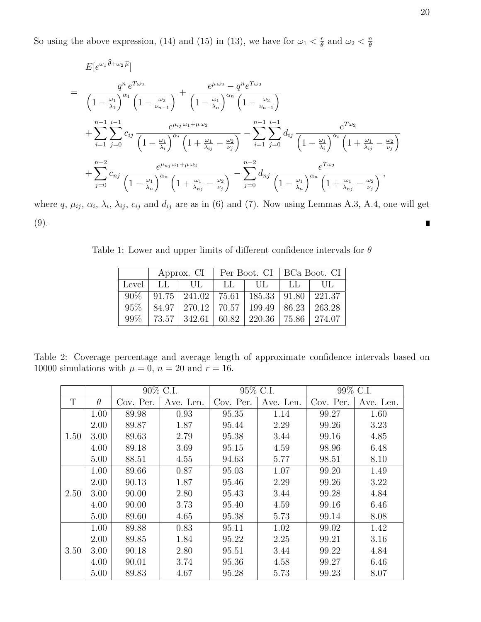So using the above expression, (14) and (15) in (13), we have for  $\omega_1 < \frac{r}{\theta}$  $\frac{r}{\theta}$  and  $\omega_2 < \frac{n}{\theta}$ θ

$$
E[e^{\omega_1 \hat{\theta} + \omega_2 \hat{\mu}}]
$$
\n
$$
= \frac{q^n e^{T\omega_2}}{\left(1 - \frac{\omega_1}{\lambda_1}\right)^{\alpha_1} \left(1 - \frac{\omega_2}{\nu_{n-1}}\right)} + \frac{e^{\mu \omega_2} - q^n e^{T\omega_2}}{\left(1 - \frac{\omega_1}{\lambda_n}\right)^{\alpha_n} \left(1 - \frac{\omega_2}{\nu_{n-1}}\right)}
$$
\n
$$
+ \sum_{i=1}^{n-1} \sum_{j=0}^{i-1} c_{ij} \frac{e^{\mu_{ij} \omega_1 + \mu \omega_2}}{\left(1 - \frac{\omega_1}{\lambda_i}\right)^{\alpha_i} \left(1 + \frac{\omega_1}{\lambda_{ij}} - \frac{\omega_2}{\nu_j}\right)} - \sum_{i=1}^{n-1} \sum_{j=0}^{i-1} d_{ij} \frac{e^{T\omega_2}}{\left(1 - \frac{\omega_1}{\lambda_i}\right)^{\alpha_i} \left(1 + \frac{\omega_1}{\lambda_{ij}} - \frac{\omega_2}{\nu_j}\right)}
$$
\n
$$
+ \sum_{j=0}^{n-2} c_{nj} \frac{e^{\mu_{nj} \omega_1 + \mu \omega_2}}{\left(1 - \frac{\omega_1}{\lambda_n}\right)^{\alpha_n} \left(1 + \frac{\omega_1}{\lambda_{nj}} - \frac{\omega_2}{\nu_j}\right)} - \sum_{j=0}^{n-2} d_{nj} \frac{e^{T\omega_2}}{\left(1 - \frac{\omega_1}{\lambda_n}\right)^{\alpha_n} \left(1 + \frac{\omega_1}{\lambda_{nj}} - \frac{\omega_2}{\nu_j}\right)},
$$
\n
$$
+ \sum_{j=0}^{n-1} c_{nj} \frac{e^{\mu_{nj} \omega_1 + \mu \omega_2}}{\left(1 - \frac{\omega_1}{\lambda_n}\right)^{\alpha_n} \left(1 + \frac{\omega_1}{\lambda_{nj}} - \frac{\omega_2}{\nu_j}\right)} + \sum_{j=0}^{n-1} \sum_{j=0}^{n-1} d_{nj} \frac{e^{T\omega_2}}{\left(1 - \frac{\omega_1}{\lambda_n}\right)^{\alpha_n} \left(1 + \frac{\omega_1}{\lambda_{nj}} - \frac{\omega_2}{\nu_j}\right)}
$$

where q,  $\mu_{ij}$ ,  $\alpha_i$ ,  $\lambda_i$ ,  $\lambda_{ij}$ ,  $c_{ij}$  and  $d_{ij}$  are as in (6) and (7). Now using Lemmas A.3, A.4, one will get (9).  $\blacksquare$ 

Table 1: Lower and upper limits of different confidence intervals for  $\theta$ 

|           | Approx. CI |                                                                        | Per Boot. CI   BCa Boot. CI |    |    |                        |
|-----------|------------|------------------------------------------------------------------------|-----------------------------|----|----|------------------------|
| Level $ $ | LL         | UL                                                                     | - LL                        | UL | LL | $\overline{\text{UL}}$ |
| $90\%$    |            | $\mid 91.75 \mid 241.02 \mid 75.61 \mid 185.33 \mid 91.80 \mid 221.37$ |                             |    |    |                        |
| $95\%$    |            | $84.97$   270.12   70.57   199.49   86.23   263.28                     |                             |    |    |                        |
| $99\%$    |            | 73.57   342.61   60.82   220.36   75.86                                |                             |    |    | 274.07                 |

Table 2: Coverage percentage and average length of approximate confidence intervals based on 10000 simulations with  $\mu = 0$ ,  $n = 20$  and  $r = 16$ .

|      |          | 90\% C.I. |           | 95\% C.I. |           | 99\% C.I. |           |
|------|----------|-----------|-----------|-----------|-----------|-----------|-----------|
| T    | $\theta$ | Cov. Per. | Ave. Len. | Cov. Per. | Ave. Len. | Cov. Per. | Ave. Len. |
| 1.50 | 1.00     | 89.98     | 0.93      | 95.35     | 1.14      | 99.27     | 1.60      |
|      | 2.00     | 89.87     | 1.87      | 95.44     | 2.29      | 99.26     | 3.23      |
|      | 3.00     | 89.63     | 2.79      | 95.38     | 3.44      | 99.16     | 4.85      |
|      | 4.00     | 89.18     | 3.69      | 95.15     | 4.59      | 98.96     | 6.48      |
|      | 5.00     | 88.51     | 4.55      | 94.63     | 5.77      | 98.51     | 8.10      |
| 2.50 | 1.00     | 89.66     | 0.87      | 95.03     | 1.07      | 99.20     | 1.49      |
|      | 2.00     | 90.13     | 1.87      | 95.46     | 2.29      | 99.26     | 3.22      |
|      | 3.00     | 90.00     | 2.80      | 95.43     | 3.44      | 99.28     | 4.84      |
|      | 4.00     | 90.00     | 3.73      | 95.40     | 4.59      | 99.16     | 6.46      |
|      | 5.00     | 89.60     | 4.65      | 95.38     | 5.73      | 99.14     | 8.08      |
| 3.50 | 1.00     | 89.88     | 0.83      | 95.11     | 1.02      | 99.02     | 1.42      |
|      | 2.00     | 89.85     | 1.84      | 95.22     | 2.25      | 99.21     | 3.16      |
|      | 3.00     | 90.18     | 2.80      | 95.51     | 3.44      | 99.22     | 4.84      |
|      | 4.00     | 90.01     | 3.74      | 95.36     | 4.58      | 99.27     | 6.46      |
|      | 5.00     | 89.83     | 4.67      | 95.28     | 5.73      | 99.23     | 8.07      |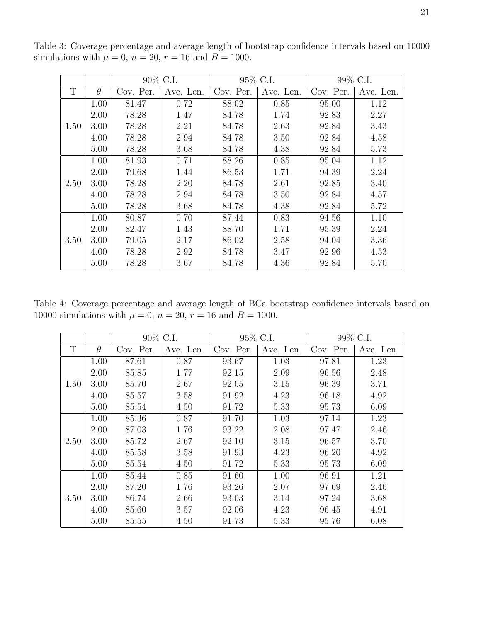|      |          | 90\% C.I. |           | 95\% C.I. |           | 99% C.I.  |           |
|------|----------|-----------|-----------|-----------|-----------|-----------|-----------|
| T    | $\theta$ | Cov. Per. | Ave. Len. | Cov. Per. | Ave. Len. | Cov. Per. | Ave. Len. |
| 1.50 | 1.00     | 81.47     | 0.72      | 88.02     | 0.85      | 95.00     | 1.12      |
|      | 2.00     | 78.28     | 1.47      | 84.78     | 1.74      | 92.83     | 2.27      |
|      | 3.00     | 78.28     | 2.21      | 84.78     | 2.63      | 92.84     | 3.43      |
|      | 4.00     | 78.28     | 2.94      | 84.78     | 3.50      | 92.84     | 4.58      |
|      | 5.00     | 78.28     | 3.68      | 84.78     | 4.38      | 92.84     | 5.73      |
| 2.50 | 1.00     | 81.93     | 0.71      | 88.26     | 0.85      | 95.04     | 1.12      |
|      | 2.00     | 79.68     | 1.44      | 86.53     | 1.71      | 94.39     | 2.24      |
|      | 3.00     | 78.28     | 2.20      | 84.78     | 2.61      | 92.85     | 3.40      |
|      | 4.00     | 78.28     | 2.94      | 84.78     | 3.50      | 92.84     | 4.57      |
|      | 5.00     | 78.28     | 3.68      | 84.78     | 4.38      | 92.84     | 5.72      |
| 3.50 | 1.00     | 80.87     | 0.70      | 87.44     | 0.83      | 94.56     | 1.10      |
|      | 2.00     | 82.47     | 1.43      | 88.70     | 1.71      | 95.39     | 2.24      |
|      | 3.00     | 79.05     | 2.17      | 86.02     | 2.58      | 94.04     | 3.36      |
|      | 4.00     | 78.28     | 2.92      | 84.78     | 3.47      | 92.96     | 4.53      |
|      | 5.00     | 78.28     | 3.67      | 84.78     | 4.36      | 92.84     | 5.70      |

Table 3: Coverage percentage and average length of bootstrap confidence intervals based on 10000 simulations with  $\mu = 0$ ,  $n = 20$ ,  $r = 16$  and  $B = 1000$ .

Table 4: Coverage percentage and average length of BCa bootstrap confidence intervals based on 10000 simulations with  $\mu = 0$ ,  $n = 20$ ,  $r = 16$  and  $B = 1000$ .

|      |          | 90% C.I.  |           | 95% C.I.  |           | 99% C.I.  |           |
|------|----------|-----------|-----------|-----------|-----------|-----------|-----------|
| T    | $\theta$ | Cov. Per. | Ave. Len. | Cov. Per. | Ave. Len. | Cov. Per. | Ave. Len. |
| 1.50 | 1.00     | 87.61     | 0.87      | 93.67     | 1.03      | 97.81     | 1.23      |
|      | 2.00     | 85.85     | 1.77      | 92.15     | 2.09      | 96.56     | 2.48      |
|      | 3.00     | 85.70     | 2.67      | 92.05     | 3.15      | 96.39     | 3.71      |
|      | 4.00     | 85.57     | 3.58      | 91.92     | 4.23      | 96.18     | 4.92      |
|      | 5.00     | 85.54     | 4.50      | 91.72     | 5.33      | 95.73     | 6.09      |
| 2.50 | 1.00     | 85.36     | 0.87      | 91.70     | 1.03      | 97.14     | 1.23      |
|      | 2.00     | 87.03     | 1.76      | 93.22     | 2.08      | 97.47     | 2.46      |
|      | 3.00     | 85.72     | 2.67      | 92.10     | 3.15      | 96.57     | 3.70      |
|      | 4.00     | 85.58     | 3.58      | 91.93     | 4.23      | 96.20     | 4.92      |
|      | 5.00     | 85.54     | 4.50      | 91.72     | 5.33      | 95.73     | 6.09      |
| 3.50 | 1.00     | 85.44     | 0.85      | 91.60     | 1.00      | 96.91     | 1.21      |
|      | 2.00     | 87.20     | 1.76      | 93.26     | 2.07      | 97.69     | 2.46      |
|      | 3.00     | 86.74     | 2.66      | 93.03     | 3.14      | 97.24     | 3.68      |
|      | 4.00     | 85.60     | 3.57      | 92.06     | 4.23      | 96.45     | 4.91      |
|      | 5.00     | 85.55     | 4.50      | 91.73     | 5.33      | 95.76     | 6.08      |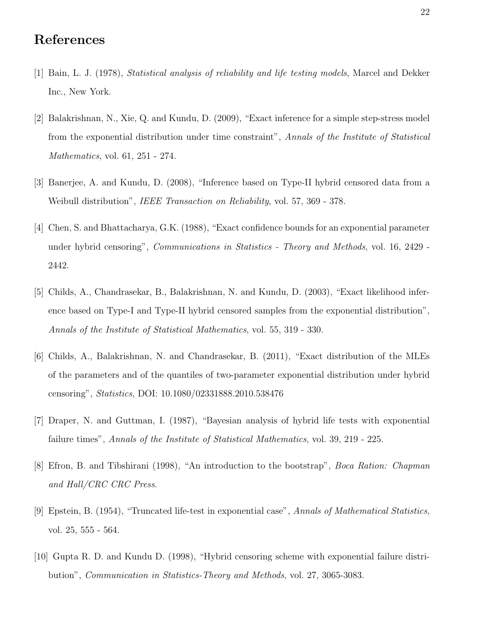# References

- [1] Bain, L. J. (1978), Statistical analysis of reliability and life testing models, Marcel and Dekker Inc., New York.
- [2] Balakrishnan, N., Xie, Q. and Kundu, D. (2009), "Exact inference for a simple step-stress model from the exponential distribution under time constraint", Annals of the Institute of Statistical Mathematics, vol. 61, 251 - 274.
- [3] Banerjee, A. and Kundu, D. (2008), "Inference based on Type-II hybrid censored data from a Weibull distribution", *IEEE Transaction on Reliability*, vol. 57, 369 - 378.
- [4] Chen, S. and Bhattacharya, G.K. (1988), "Exact confidence bounds for an exponential parameter under hybrid censoring", Communications in Statistics - Theory and Methods, vol. 16, 2429 - 2442.
- [5] Childs, A., Chandrasekar, B., Balakrishnan, N. and Kundu, D. (2003), "Exact likelihood inference based on Type-I and Type-II hybrid censored samples from the exponential distribution", Annals of the Institute of Statistical Mathematics, vol. 55, 319 - 330.
- [6] Childs, A., Balakrishnan, N. and Chandrasekar, B. (2011), "Exact distribution of the MLEs of the parameters and of the quantiles of two-parameter exponential distribution under hybrid censoring", Statistics, DOI: 10.1080/02331888.2010.538476
- [7] Draper, N. and Guttman, I. (1987), "Bayesian analysis of hybrid life tests with exponential failure times", Annals of the Institute of Statistical Mathematics, vol. 39, 219 - 225.
- [8] Efron, B. and Tibshirani (1998), "An introduction to the bootstrap", Boca Ration: Chapman and Hall/CRC CRC Press.
- [9] Epstein, B. (1954), "Truncated life-test in exponential case", Annals of Mathematical Statistics, vol. 25, 555 - 564.
- [10] Gupta R. D. and Kundu D. (1998), "Hybrid censoring scheme with exponential failure distribution", Communication in Statistics-Theory and Methods, vol. 27, 3065-3083.